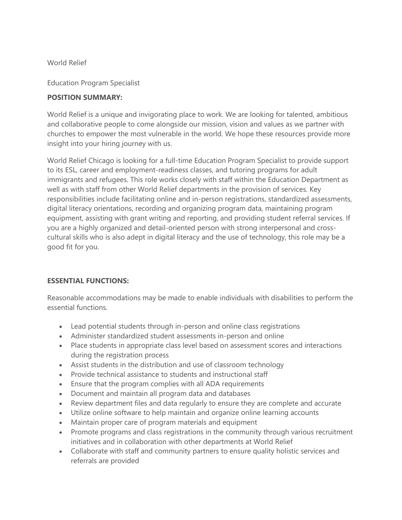World Relief

Education Program Specialist

## **POSITION SUMMARY:**

World Relief is a unique and invigorating place to work. We are looking for talented, ambitious and collaborative people to come alongside our mission, vision and values as we partner with churches to empower the most vulnerable in the world. We hope these resources provide more insight into your hiring journey with us.

World Relief Chicago is looking for a full-time Education Program Specialist to provide support to its ESL, career and employment-readiness classes, and tutoring programs for adult immigrants and refugees. This role works closely with staff within the Education Department as well as with staff from other World Relief departments in the provision of services. Key responsibilities include facilitating online and in-person registrations, standardized assessments, digital literacy orientations, recording and organizing program data, maintaining program equipment, assisting with grant writing and reporting, and providing student referral services. If you are a highly organized and detail-oriented person with strong interpersonal and crosscultural skills who is also adept in digital literacy and the use of technology, this role may be a good fit for you.

## **ESSENTIAL FUNCTIONS:**

Reasonable accommodations may be made to enable individuals with disabilities to perform the essential functions.

- Lead potential students through in-person and online class registrations
- Administer standardized student assessments in-person and online
- Place students in appropriate class level based on assessment scores and interactions during the registration process
- Assist students in the distribution and use of classroom technology
- Provide technical assistance to students and instructional staff
- Ensure that the program complies with all ADA requirements
- Document and maintain all program data and databases
- Review department files and data regularly to ensure they are complete and accurate
- Utilize online software to help maintain and organize online learning accounts
- Maintain proper care of program materials and equipment
- Promote programs and class registrations in the community through various recruitment initiatives and in collaboration with other departments at World Relief
- Collaborate with staff and community partners to ensure quality holistic services and referrals are provided